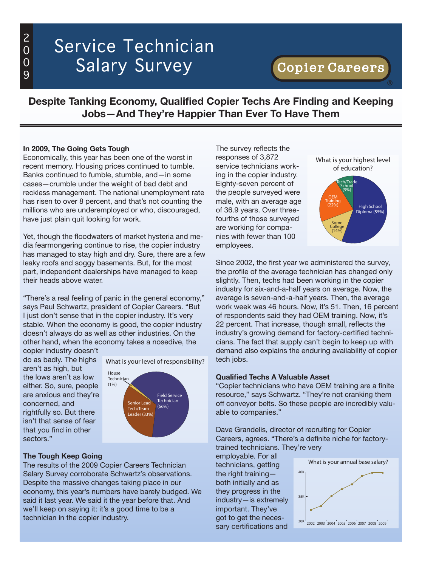## 2  $\overline{0}$ 0 9

# Service Technician Salary Survey

# Copier Careers

### **Despite Tanking Economy, Qualified Copier Techs Are Finding and Keeping Jobs—And They're Happier Than Ever To Have Them**

#### **In 2009, The Going Gets Tough**

Economically, this year has been one of the worst in recent memory. Housing prices continued to tumble. Banks continued to fumble, stumble, and—in some cases—crumble under the weight of bad debt and reckless management. The national unemployment rate has risen to over 8 percent, and that's not counting the millions who are underemployed or who, discouraged, have just plain quit looking for work.

Yet, though the floodwaters of market hysteria and media fearmongering continue to rise, the copier industry has managed to stay high and dry. Sure, there are a few leaky roofs and soggy basements. But, for the most part, independent dealerships have managed to keep their heads above water.

"There's a real feeling of panic in the general economy," says Paul Schwartz, president of Copier Careers. "But I just don't sense that in the copier industry. It's very stable. When the economy is good, the copier industry doesn't always do as well as other industries. On the other hand, when the economy takes a nosedive, the

copier industry doesn't do as badly. The highs aren't as high, but the lows aren't as low either. So, sure, people are anxious and they're concerned, and rightfully so. But there isn't that sense of fear that you find in other sectors."



#### **The Tough Keep Going**

The results of the 2009 Copier Careers Technician Salary Survey corroborate Schwartz's observations. Despite the massive changes taking place in our economy, this year's numbers have barely budged. We said it last year. We said it the year before that. And we'll keep on saying it: it's a good time to be a technician in the copier industry.

The survey reflects the responses of 3,872 service technicians working in the copier industry. Eighty-seven percent of the people surveyed were male, with an average age of 36.9 years. Over threefourths of those surveyed are working for companies with fewer than 100 employees.



®

Since 2002, the first year we administered the survey, the profile of the average technician has changed only slightly. Then, techs had been working in the copier industry for six-and-a-half years on average. Now, the average is seven-and-a-half years. Then, the average work week was 46 hours. Now, it's 51. Then, 16 percent of respondents said they had OEM training. Now, it's 22 percent. That increase, though small, reflects the industry's growing demand for factory-certified technicians. The fact that supply can't begin to keep up with demand also explains the enduring availability of copier tech jobs.

#### **Qualified Techs A Valuable Asset**

"Copier technicians who have OEM training are a finite resource," says Schwartz. "They're not cranking them off conveyor belts. So these people are incredibly valuable to companies."

Dave Grandelis, director of recruiting for Copier Careers, agrees. "There's a definite niche for factorytrained technicians. They're very

employable. For all technicians, getting the right training both initially and as they progress in the industry—is extremely important. They've got to get the necessary certifications and